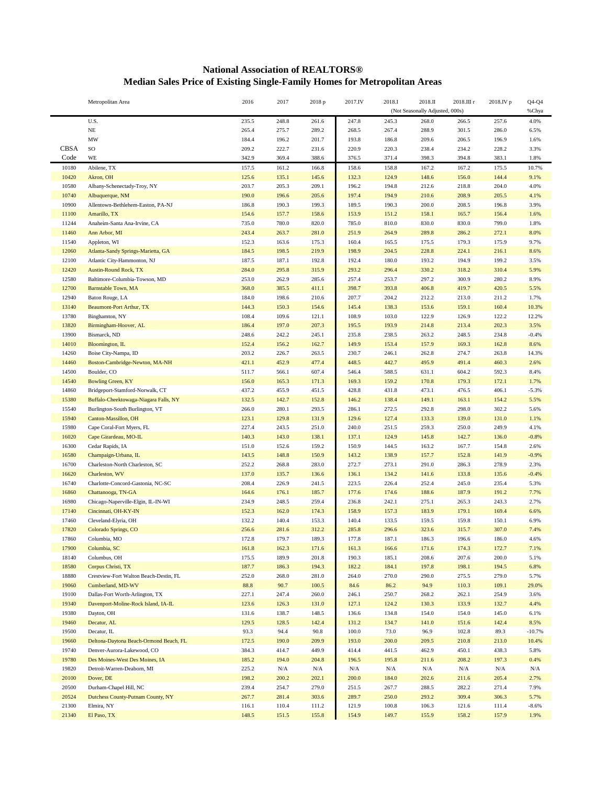## **National Association of REALTORS® Median Sales Price of Existing Single-Family Homes for Metropolitan Areas**

|                     | Metropolitan Area                                 | 2016           | 2017           | 2018 p         | 2017.IV        | 2018.I                          | 2018.II        | 2018.III r     | 2018.IV p      | $Q4-Q4$         |
|---------------------|---------------------------------------------------|----------------|----------------|----------------|----------------|---------------------------------|----------------|----------------|----------------|-----------------|
|                     |                                                   |                |                |                |                | (Not Seasonally Adjusted, 000s) |                |                |                | %Chya           |
|                     | U.S.                                              | 235.5          | 248.8          | 261.6          | 247.8          | 245.3                           | 268.0          | 266.5          | 257.6          | 4.0%            |
|                     | $\rm NE$                                          | 265.4          | 275.7          | 289.2          | 268.5          | 267.4                           | 288.9          | 301.5          | 286.0          | 6.5%            |
|                     | MW                                                | 184.4          | 196.2          | 201.7          | 193.8          | 186.8                           | 209.6          | 206.5          | 196.9          | 1.6%            |
| <b>CBSA</b><br>Code | SO<br>WE                                          | 209.2<br>342.9 | 222.7<br>369.4 | 231.6<br>388.6 | 220.9<br>376.5 | 220.3<br>371.4                  | 238.4<br>398.3 | 234.2<br>394.8 | 228.2<br>383.1 | 3.3%<br>1.8%    |
| 10180               | Abilene, TX                                       | 157.5          | 161.2          | 166.8          | 158.6          | 158.8                           | 167.2          | 167.2          | 175.5          |                 |
| 10420               | Akron, OH                                         | 125.6          | 135.1          | 145.6          | 132.3          | 124.9                           | 148.6          | 156.0          | 144.4          | 10.7%<br>9.1%   |
| 10580               | Albany-Schenectady-Troy, NY                       | 203.7          | 205.3          | 209.1          | 196.2          | 194.8                           | 212.6          | 218.8          | 204.0          | 4.0%            |
| 10740               | Albuquerque, NM                                   | 190.0          | 196.6          | 205.6          | 197.4          | 194.9                           | 210.6          | 208.9          | 205.5          | 4.1%            |
| 10900               | Allentown-Bethlehem-Easton, PA-NJ                 | 186.8          | 190.3          | 199.3          | 189.5          | 190.3                           | 200.0          | 208.5          | 196.8          | 3.9%            |
| 11100               | Amarillo, TX                                      | 154.6          | 157.7          | 158.6          | 153.9          | 151.2                           | 158.1          | 165.7          | 156.4          | 1.6%            |
| 11244               | Anaheim-Santa Ana-Irvine, CA                      | 735.0          | 780.0          | 820.0          | 785.0          | 810.0                           | 830.0          | 830.0          | 799.0          | 1.8%            |
| 11460               | Ann Arbor, MI                                     | 243.4          | 263.7          | 281.0          | 251.9          | 264.9                           | 289.8          | 286.2          | 272.1          | 8.0%            |
| 11540               | Appleton, WI                                      | 152.3          | 163.6          | 175.3          | 160.4          | 165.5                           | 175.5          | 179.3          | 175.9          | 9.7%            |
| 12060               | Atlanta-Sandy Springs-Marietta, GA                | 184.5          | 198.5          | 219.9          | 198.9          | 204.5                           | 228.8          | 224.1          | 216.1          | 8.6%            |
| 12100               | Atlantic City-Hammonton, NJ                       | 187.5          | 187.1          | 192.8          | 192.4          | 180.0                           | 193.2          | 194.9          | 199.2          | 3.5%            |
| 12420               | <b>Austin-Round Rock, TX</b>                      | 284.0          | 295.8          | 315.9          | 293.2          | 296.4                           | 330.2          | 318.2          | 310.4          | 5.9%            |
| 12580               | Baltimore-Columbia-Towson, MD                     | 253.0          | 262.9          | 285.6          | 257.4          | 253.7                           | 297.2          | 300.9          | 280.2          | 8.9%            |
| 12700               | <b>Barnstable Town, MA</b>                        | 368.0          | 385.5          | 411.1          | 398.7          | 393.8                           | 406.8          | 419.7          | 420.5          | 5.5%            |
| 12940               | Baton Rouge, LA                                   | 184.0          | 198.6          | 210.6          | 207.7          | 204.2                           | 212.2          | 213.0          | 211.2          | 1.7%            |
| 13140               | <b>Beaumont-Port Arthur, TX</b>                   | 144.3          | 150.3          | 154.6          | 145.4          | 138.3                           | 153.6          | 159.1          | 160.4          | 10.3%           |
| 13780               | Binghamton, NY                                    | 108.4          | 109.6          | 121.1          | 108.9          | 103.0                           | 122.9          | 126.9          | 122.2          | 12.2%           |
| 13820               | Birmingham-Hoover, AL                             | 186.4          | 197.0          | 207.3          | 195.5          | 193.9                           | 214.8          | 213.4          | 202.3          | 3.5%            |
| 13900               | Bismarck, ND                                      | 248.6          | 242.2          | 245.1          | 235.8          | 238.5                           | 263.2          | 248.5          | 234.8          | $-0.4%$         |
| 14010               | Bloomington, IL                                   | 152.4          | 156.2          | 162.7          | 149.9          | 153.4                           | 157.9          | 169.3          | 162.8          | 8.6%            |
| 14260               | Boise City-Nampa, ID                              | 203.2          | 226.7          | 263.5          | 230.7          | 246.1                           | 262.8          | 274.7          | 263.8          | 14.3%           |
| 14460               | Boston-Cambridge-Newton, MA-NH                    | 421.1          | 452.9          | 477.4          | 448.5          | 442.7                           | 495.9          | 491.4          | 460.3          | 2.6%            |
| 14500               | Boulder, CO                                       | 511.7          | 566.1          | 607.4          | 546.4          | 588.5                           | 631.1          | 604.2          | 592.3          | 8.4%            |
| 14540               | <b>Bowling Green, KY</b>                          | 156.0          | 165.3          | 171.3          | 169.3          | 159.2                           | 170.8          | 179.3          | 172.1          | 1.7%            |
| 14860               | Bridgeport-Stamford-Norwalk, CT                   | 437.2          | 455.9          | 451.5          | 428.8          | 431.8                           | 473.1          | 476.5          | 406.1          | $-5.3%$         |
| 15380               | Buffalo-Cheektowaga-Niagara Falls, NY             | 132.5          | 142.7          | 152.8          | 146.2          | 138.4                           | 149.1          | 163.1          | 154.2          | 5.5%            |
| 15540               | Burlington-South Burlington, VT                   | 266.0          | 280.1          | 293.5          | 286.1          | 272.5                           | 292.8          | 298.0          | 302.2          | 5.6%            |
| 15940               | Canton-Massillon, OH                              | 123.1          | 129.8          | 131.9          | 129.6          | 127.4                           | 133.3          | 139.0          | 131.0          | 1.1%            |
| 15980               | Cape Coral-Fort Myers, FL                         | 227.4          | 243.5          | 251.0          | 240.0          | 251.5                           | 259.3          | 250.0          | 249.9          | 4.1%            |
| 16020               | Cape Girardeau, MO-IL                             | 140.3          | 143.0          | 138.1          | 137.1          | 124.9                           | 145.8          | 142.7          | 136.0          | $-0.8%$         |
| 16300               | Cedar Rapids, IA                                  | 151.0          | 152.6          | 159.2          | 150.9          | 144.5                           | 163.2          | 167.7          | 154.8          | 2.6%            |
| 16580<br>16700      | Champaign-Urbana, IL                              | 143.5          | 148.8          | 150.9<br>283.0 | 143.2          | 138.9                           | 157.7          | 152.8<br>286.3 | 141.9          | $-0.9%$         |
| 16620               | Charleston-North Charleston, SC<br>Charleston, WV | 252.2<br>137.0 | 268.8<br>135.7 | 136.6          | 272.7<br>136.1 | 273.1<br>134.2                  | 291.0<br>141.6 | 133.8          | 278.9<br>135.6 | 2.3%<br>$-0.4%$ |
| 16740               | Charlotte-Concord-Gastonia, NC-SC                 | 208.4          | 226.9          | 241.5          | 223.5          | 226.4                           | 252.4          | 245.0          | 235.4          | 5.3%            |
| 16860               | Chattanooga, TN-GA                                | 164.6          | 176.1          | 185.7          | 177.6          | 174.6                           | 188.6          | 187.9          | 191.2          | 7.7%            |
| 16980               | Chicago-Naperville-Elgin, IL-IN-WI                | 234.9          | 248.5          | 259.4          | 236.8          | 242.1                           | 275.1          | 265.3          | 243.3          | 2.7%            |
| 17140               | Cincinnati, OH-KY-IN                              | 152.3          | 162.0          | 174.3          | 158.9          | 157.3                           | 183.9          | 179.1          | 169.4          | 6.6%            |
| 17460               | Cleveland-Elyria, OH                              | 132.2          | 140.4          | 153.3          | 140.4          | 133.5                           | 159.5          | 159.8          | 150.1          | 6.9%            |
| 17820               | Colorado Springs, CO                              | 256.6          | 281.6          | 312.2          | 285.8          | 296.6                           | 323.6          | 315.7          | 307.0          | 7.4%            |
| 17860               | Columbia, MO                                      | 172.8          | 179.7          | 189.3          | 177.8          | 187.1                           | 186.3          | 196.6          | 186.0          | 4.6%            |
| 17900               | Columbia, SC                                      | 161.8          | 162.3          | 171.6          | 161.3          | 166.6                           | 171.6          | 174.3          | 172.7          | 7.1%            |
| 18140               | Columbus, OH                                      | 175.5          | 189.9          | 201.8          | 190.3          | 185.1                           | 208.6          | 207.6          | 200.0          | 5.1%            |
| 18580               | Corpus Christi, TX                                | 187.7          | 186.3          | 194.3          | 182.2          | 184.1                           | 197.8          | 198.1          | 194.5          | 6.8%            |
| 18880               | Crestview-Fort Walton Beach-Destin, FL            | 252.0          | 268.0          | 281.0          | 264.0          | 270.0                           | 290.0          | 275.5          | 279.0          | 5.7%            |
| 19060               | Cumberland, MD-WV                                 | 88.8           | 90.7           | 100.5          | 84.6           | 86.2                            | 94.9           | 110.3          | 109.1          | 29.0%           |
| 19100               | Dallas-Fort Worth-Arlington, TX                   | 227.1          | 247.4          | 260.0          | 246.1          | 250.7                           | 268.2          | 262.1          | 254.9          | 3.6%            |
| 19340               | Davenport-Moline-Rock Island, IA-IL               | 123.6          | 126.3          | 131.0          | 127.1          | 124.2                           | 130.3          | 133.9          | 132.7          | 4.4%            |
| 19380               | Dayton, OH                                        | 131.6          | 138.7          | 148.5          | 136.6          | 134.8                           | 154.0          | 154.0          | 145.0          | 6.1%            |
| 19460               | Decatur, AL                                       | 129.5          | 128.5          | 142.4          | 131.2          | 134.7                           | 141.0          | 151.6          | 142.4          | 8.5%            |
| 19500               | Decatur, IL                                       | 93.3           | 94.4           | 90.8           | 100.0          | 73.0                            | 96.9           | 102.8          | 89.3           | $-10.7%$        |
| 19660               | Deltona-Daytona Beach-Ormond Beach, FL            | 172.5          | 190.0          | 209.9          | 193.0          | 200.0                           | 209.5          | 210.8          | 213.0          | 10.4%           |
| 19740               | Denver-Aurora-Lakewood, CO                        | 384.3          | 414.7          | 449.9          | 414.4          | 441.5                           | 462.9          | 450.1          | 438.3          | 5.8%            |
| 19780               | Des Moines-West Des Moines, IA                    | 185.2          | 194.0          | 204.8          | 196.5          | 195.8                           | 211.6          | 208.2          | 197.3          | 0.4%            |
| 19820               | Detroit-Warren-Deaborn, MI                        | 225.2          | N/A            | N/A            | N/A            | $\rm N/A$                       | N/A            | N/A            | N/A            | N/A             |
| 20100               | Dover, DE                                         | 198.2          | 200.2          | 202.1          | 200.0          | 184.0                           | 202.6          | 211.6          | 205.4          | 2.7%            |
| 20500               | Durham-Chapel Hill, NC                            | 239.4          | 254.7          | 279.0          | 251.5          | 267.7                           | 288.5          | 282.2          | 271.4          | 7.9%            |
| 20524               | Dutchess County-Putnam County, NY                 | 267.7          | 281.4          | 303.6          | 289.7          | 250.0                           | 293.2          | 309.4          | 306.3          | 5.7%            |
| 21300<br>21340      | Elmira, NY<br>El Paso, TX                         | 116.1<br>148.5 | 110.4<br>151.5 | 111.2<br>155.8 | 121.9<br>154.9 | 100.8<br>149.7                  | 106.3<br>155.9 | 121.6<br>158.2 | 111.4<br>157.9 | $-8.6%$<br>1.9% |
|                     |                                                   |                |                |                |                |                                 |                |                |                |                 |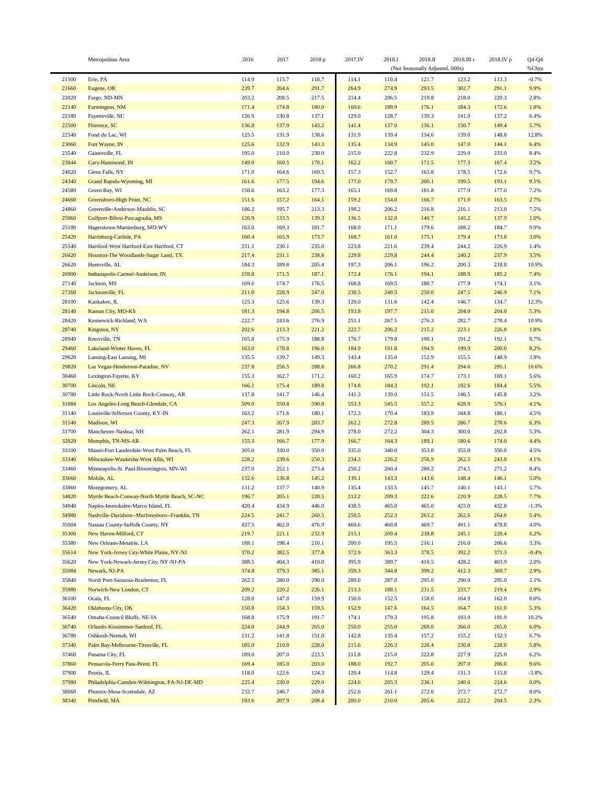|       | Metropolitan Area                              | 2016  | 2017  | 2018 p | 2017.IV | 2018.I | 2018.II                         | 2018.III r | 2018.IV p | $Q4-Q4$ |
|-------|------------------------------------------------|-------|-------|--------|---------|--------|---------------------------------|------------|-----------|---------|
|       |                                                |       |       |        |         |        | (Not Seasonally Adjusted, 000s) |            |           | %Chya   |
| 21500 | Erie, PA                                       | 114.9 | 115.7 | 118.7  | 114.1   | 110.4  | 121.7                           | 123.2      | 113.3     | $-0.7%$ |
| 21660 | Eugene, OR                                     | 239.7 | 264.6 | 291.7  | 264.9   | 274.9  | 293.5                           | 302.7      | 291.1     | 9.9%    |
| 22020 | Fargo, ND-MN                                   | 203.2 | 208.5 | 217.5  | 214.4   | 206.5  | 219.8                           | 218.0      | 220.3     | 2.8%    |
| 22140 | Farmington, NM                                 | 171.4 | 174.8 | 180.0  | 169.6   | 189.9  | 176.1                           | 184.3      | 172.6     | 1.8%    |
| 22180 | Fayetteville, NC                               | 126.9 | 130.8 | 137.1  | 129.0   | 128.7  | 139.3                           | 141.0      | 137.2     | 6.4%    |
| 22500 | Florence, SC                                   | 136.8 | 137.9 | 143.2  | 141.4   | 137.0  | 136.1                           | 150.7      | 149.4     | 5.7%    |
| 22540 | Fond du Lac, WI                                | 125.5 | 131.9 | 138.6  | 131.9   | 139.4  | 134.6                           | 139.0      | 148.8     | 12.8%   |
| 23060 | Fort Wayne, IN                                 | 125.6 | 132.9 | 143.3  | 135.4   | 134.9  | 145.0                           | 147.0      | 144.1     | 6.4%    |
| 23540 | Gainesville, FL                                | 195.0 |       | 230.0  | 215.0   | 222.8  | 232.9                           | 229.0      | 233.0     | 8.4%    |
|       |                                                |       | 210.0 |        |         |        |                                 |            |           |         |
| 23844 | Gary-Hammond, IN                               | 149.0 | 160.5 | 170.1  | 162.2   | 160.7  | 171.5                           | 177.3      | 167.4     | 3.2%    |
| 24020 | Glens Falls, NY                                | 171.0 | 164.6 | 169.5  | 157.3   | 152.7  | 163.8                           | 178.5      | 172.6     | 9.7%    |
| 24340 | Grand Rapids-Wyoming, MI                       | 161.6 | 177.5 | 194.6  | 177.0   | 179.7  | 200.1                           | 199.5      | 193.1     | 9.1%    |
| 24580 | Green Bay, WI                                  | 150.6 | 163.2 | 177.3  | 165.1   | 169.8  | 181.8                           | 177.9      | 177.0     | 7.2%    |
| 24660 | Greensboro-High Point, NC                      | 151.6 | 157.2 | 164.1  | 159.2   | 154.0  | 166.7                           | 171.0      | 163.5     | 2.7%    |
| 24860 | Greenville-Anderson-Mauldin, SC                | 186.2 | 195.7 | 213.3  | 198.2   | 206.2  | 216.8                           | 216.1      | 213.0     | 7.5%    |
| 25060 | Gulfport-Biloxi-Pascagoulia, MS                | 126.9 | 133.5 | 139.3  | 136.5   | 132.0  | 140.7                           | 145.2      | 137.9     | 1.0%    |
| 25180 | Hagerstown-Martinsburg, MD-WV                  | 163.0 | 169.3 | 181.7  | 168.0   | 171.1  | 179.6                           | 188.2      | 184.7     | 9.9%    |
| 25420 | Harrisburg-Carlisle, PA                        | 160.4 | 165.9 | 173.7  | 168.7   | 161.0  | 175.1                           | 179.4      | 173.8     | 3.0%    |
| 25540 | Hartford-West Hartford-East Hartford, CT       | 231.1 | 230.1 | 235.0  | 223.8   | 221.6  | 239.4                           | 244.2      | 226.9     | 1.4%    |
| 26420 | Houston-The Woodlands-Sugar Land, TX           | 217.4 | 231.1 | 238.8  | 229.8   | 229.8  | 244.4                           | 240.2      | 237.9     | 3.5%    |
| 26620 | Huntsville, AL                                 | 184.3 | 189.8 | 205.4  | 197.3   | 206.1  | 196.2                           | 200.3      | 218.8     | 10.9%   |
| 26900 | Indianapolis-Carmel-Anderson, IN               | 159.8 | 171.5 | 187.1  | 172.4   | 176.1  | 194.1                           | 188.9      | 185.2     | 7.4%    |
| 27140 | Jackson, MS                                    | 169.6 | 174.7 | 176.5  | 168.8   | 169.5  | 180.7                           | 177.9      | 174.1     | 3.1%    |
| 27260 | Jacksonville, FL                               | 211.0 | 228.9 | 247.0  | 230.5   | 240.5  | 250.0                           | 247.5      | 246.9     | 7.1%    |
| 28100 | Kankakee, IL                                   | 125.3 | 125.6 | 139.3  | 120.0   | 131.6  | 142.4                           | 146.7      | 134.7     | 12.3%   |
| 28140 | Kansas City, MO-KS                             | 181.3 | 194.8 | 206.5  | 193.8   | 197.7  | 215.0                           | 204.9      | 204.0     | 5.3%    |
| 28420 | Kennewick-Richland, WA                         | 222.7 | 243.6 | 276.9  | 251.1   | 267.5  | 276.3                           | 282.7      | 278.4     | 10.9%   |
| 28740 | Kingston, NY                                   | 202.6 | 213.3 | 221.2  | 222.7   | 206.2  | 215.2                           | 223.1      | 226.8     | 1.8%    |
| 28940 | Knoxville, TN                                  | 165.8 | 175.9 | 188.8  | 176.7   | 179.8  | 190.1                           | 191.2      | 192.1     | 8.7%    |
| 29460 | Lakeland-Winter Haven, FL                      | 163.0 | 178.8 | 196.0  | 184.9   | 191.8  | 194.9                           | 199.9      | 200.0     | 8.2%    |
| 29620 |                                                | 135.5 | 139.7 | 149.3  | 143.4   |        | 152.9                           | 155.5      | 148.9     | 3.8%    |
|       | Lansing-East Lansing, MI                       |       |       |        |         | 135.0  |                                 |            |           |         |
| 29820 | Las Vegas-Henderson-Paradise, NV               | 237.8 | 256.5 | 288.8  | 266.8   | 270.2  | 291.4                           | 294.6      | 295.1     | 10.6%   |
| 30460 | Lexington-Fayette, KY                          | 155.3 | 162.7 | 171.2  | 160.2   | 165.9  | 174.7                           | 173.1      | 169.1     | 5.6%    |
| 30700 | Lincoln, NE                                    | 166.1 | 175.4 | 189.8  | 174.8   | 184.3  | 192.1                           | 192.6      | 184.4     | 5.5%    |
| 30780 | Little Rock-North Little Rock-Conway, AR       | 137.8 | 141.7 | 146.4  | 141.3   | 139.0  | 151.5                           | 146.5      | 145.8     | 3.2%    |
| 31084 | Los Angeles-Long Beach-Glendale, CA            | 509.0 | 550.8 | 590.8  | 553.3   | 545.5  | 557.2                           | 628.9      | 576.1     | 4.1%    |
| 31140 | Louisville/Jefferson County, KY-IN             | 163.2 | 171.6 | 180.1  | 172.3   | 170.4  | 183.9                           | 184.8      | 180.1     | 4.5%    |
| 31540 | Madison, WI                                    | 247.3 | 267.9 | 283.7  | 262.2   | 272.8  | 289.5                           | 286.7      | 278.6     | 6.3%    |
| 31700 | Manchester-Nashua, NH                          | 262.1 | 281.9 | 294.9  | 278.0   | 272.2  | 304.3                           | 300.0      | 292.8     | 5.3%    |
| 32820 | Memphis, TN-MS-AR                              | 155.3 | 166.7 | 177.9  | 166.7   | 164.3  | 189.1                           | 180.6      | 174.0     | 4.4%    |
| 33100 | Miami-Fort Lauderdale-West Palm Beach, FL      | 305.0 | 330.0 | 350.0  | 335.0   | 340.0  | 353.0                           | 355.0      | 350.0     | 4.5%    |
| 33340 | Milwaukee-Waukesha-West Allis, WI              | 228.2 | 239.6 | 250.3  | 234.3   | 226.2  | 256.9                           | 262.5      | 243.8     | 4.1%    |
| 33460 | Minneapolis-St. Paul-Bloomington, MN-WI        | 237.0 | 252.1 | 273.4  | 250.2   | 260.4  | 280.2                           | 274.5      | 271.2     | 8.4%    |
| 33660 | Mobile, AL                                     | 132.6 | 136.8 | 145.2  | 139.1   | 143.3  | 143.0                           | 148.4      | 146.1     | 5.0%    |
| 33860 | Montgomery, AL                                 | 131.2 | 137.7 | 140.9  | 135.4   | 133.5  | 145.7                           | 140.1      | 143.1     | 5.7%    |
| 34820 | Myrtle Beach-Conway-North Myrtle Beach, SC-NC  | 196.7 | 205.1 | 220.5  | 212.2   | 209.3  | 222.6                           | 220.9      | 228.5     | 7.7%    |
| 34940 | Naples-Immokalee-Marco Island, FL              | 420.4 | 434.9 | 446.0  | 438.5   | 465.0  | 465.0                           | 425.0      | 432.8     | $-1.3%$ |
| 34980 | Nashville-Davidson--Murfreesboro--Franklin, TN | 224.5 | 241.7 | 260.5  | 250.5   | 252.3  | 263.2                           | 262.6      | 264.0     | 5.4%    |
| 35004 | Nassau County-Suffolk County, NY               | 437.5 | 462.0 | 476.9  | 460.6   | 460.8  | 469.7                           | 491.1      | 478.8     | 4.0%    |
| 35300 | New Haven-Milford, CT                          | 219.7 | 221.1 | 232.9  | 215.1   | 209.4  | 238.8                           | 245.1      | 228.4     | 6.2%    |
| 35380 | New Orleans-Metairie, LA                       | 188.1 | 198.4 | 210.1  | 200.0   | 195.5  | 216.1                           | 216.0      | 206.6     | 3.3%    |
| 35614 | New York-Jersey City-White Plains, NY-NJ       | 370.2 | 382.5 | 377.8  | 372.9   | 363.3  | 378.5                           | 392.2      | 371.3     | $-0.4%$ |
|       |                                                |       |       | 410.0  | 395.9   |        |                                 |            |           |         |
| 35620 | New York-Newark-Jersey City, NY-NJ-PA          | 388.5 | 404.3 |        |         | 389.7  | 410.5                           | 428.2      | 403.9     | 2.0%    |
| 35084 | Newark, NJ-PA                                  | 374.8 | 379.3 | 385.1  | 359.3   | 344.8  | 399.2                           | 412.3      | 369.7     | 2.9%    |
| 35840 | North Port-Sarasota-Bradenton, FL              | 262.5 | 280.0 | 290.0  | 289.0   | 287.0  | 295.0                           | 290.0      | 295.0     | 2.1%    |
| 35980 | Norwich-New London, CT                         | 209.2 | 220.2 | 226.1  | 213.3   | 188.1  | 231.5                           | 233.7      | 219.4     | 2.9%    |
| 36100 | Ocala, FL                                      | 128.0 | 147.0 | 159.9  | 150.0   | 152.5  | 158.0                           | 164.9      | 162.0     | 8.0%    |
| 36420 | Oklahoma City, OK                              | 150.8 | 154.3 | 159.5  | 152.9   | 147.6  | 164.5                           | 164.7      | 161.0     | 5.3%    |
| 36540 | Omaha-Council Bluffs, NE-IA                    | 168.8 | 175.9 | 191.7  | 174.1   | 179.3  | 195.8                           | 193.9      | 191.9     | 10.2%   |
| 36740 | Orlando-Kissimmee-Sanford, FL                  | 224.0 | 244.9 | 265.0  | 250.0   | 255.0  | 269.0                           | 266.0      | 265.0     | 6.0%    |
| 36780 | Oshkosh-Neenah, WI                             | 131.2 | 141.8 | 151.0  | 142.8   | 135.4  | 157.2                           | 155.2      | 152.3     | 6.7%    |
| 37340 | Palm Bay-Melbourne-Titusville, FL              | 185.0 | 210.0 | 228.0  | 215.6   | 226.3  | 226.4                           | 230.8      | 228.0     | 5.8%    |
| 37460 | Panama City, FL                                | 189.0 | 207.0 | 223.5  | 211.8   | 215.0  | 222.8                           | 227.9      | 225.0     | 6.2%    |
| 37860 | Pensacola-Ferry Pass-Brent, FL                 | 169.4 | 185.0 | 203.0  | 188.0   | 192.7  | 205.0                           | 207.0      | 206.0     | 9.6%    |
| 37900 | Peoria, IL                                     | 118.0 | 122.6 | 124.3  | 120.4   | 114.8  | 129.4                           | 131.3      | 115.8     | $-3.8%$ |
| 37980 | Philadelphia-Camden-Wilmington, PA-NJ-DE-MD    | 225.4 | 230.0 | 229.0  | 224.6   | 205.3  | 236.1                           | 240.6      | 224.6     | 0.0%    |
| 38060 | Phoenix-Mesa-Scottsdale, AZ                    | 232.7 | 246.7 | 269.8  | 252.6   | 261.1  | 272.0                           | 272.7      | 272.7     | 8.0%    |
| 38340 | Pittsfield, MA                                 | 193.6 | 207.9 | 208.4  | 200.0   | 210.0  | 205.6                           | 222.2      | 204.5     | 2.3%    |